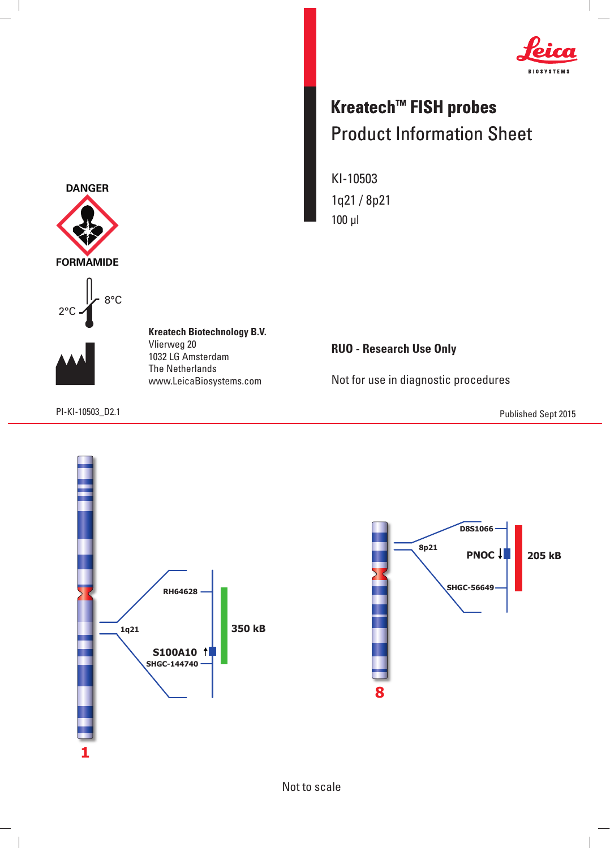

## **Kreatech™ FISH probes** Product Information Sheet

KI-10503 1q21 / 8p21 100 μl



8°C



 $\overline{\phantom{a}}$ 

**Kreatech Biotechnology B.V.** Vlierweg 20 1032 LG Amsterdam The Netherlands www.LeicaBiosystems.com

**RUO - Research Use Only**

Not for use in diagnostic procedures

PI-KI-10503\_D2.1 Published Sept 2015